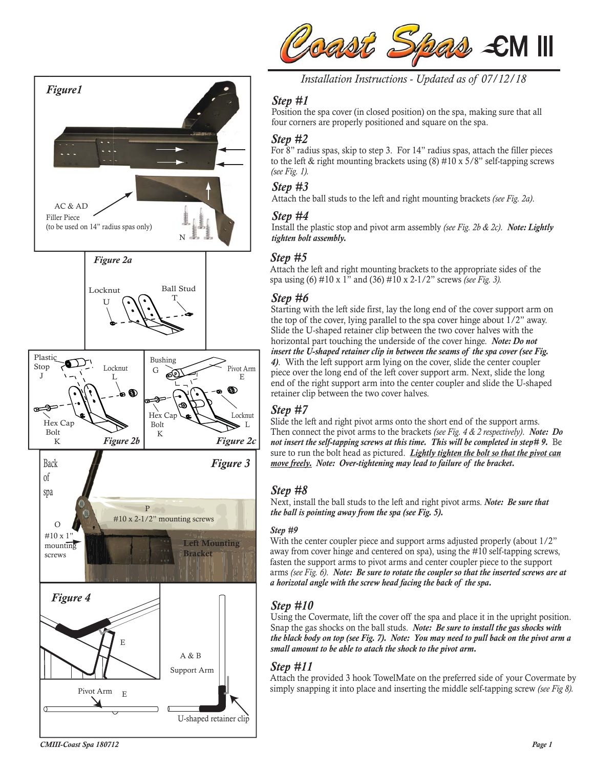



*Installation Instructions - Updated as of 07/12/18* 

### *Step #1*

Position the spa cover (in closed position) on the spa, making sure that all four corners are properly positioned and square on the spa.

#### *Step #2*

For 8" radius spas, skip to step 3. For 14" radius spas, attach the filler pieces to the left & right mounting brackets using  $(8)$  #10 x 5/8" self-tapping screws *(see Fig. 1).*

#### *Step #3*

Attach the ball studs to the left and right mounting brackets *(see Fig. 2a)*.

#### *Step #4*

Install the plastic stop and pivot arm assembly *(see Fig. 2b & 2c)*. *Note: Lightly tighten bolt assembly.*

### *Step #5*

Attach the left and right mounting brackets to the appropriate sides of the spa using (6) #10 x 1" and (36) #10 x 2-1/2" screws *(see Fig. 3).*

## *Step #6*

Starting with the left side first, lay the long end of the cover support arm on the top of the cover, lying parallel to the spa cover hinge about 1/2" away. Slide the U-shaped retainer clip between the two cover halves with the horizontal part touching the underside of the cover hinge. *Note: Do not insert the U-shaped retainer clip in between the seams of the spa cover (see Fig. 4)*. With the left support arm lying on the cover, slide the center coupler piece over the long end of the left cover support arm. Next, slide the long end of the right support arm into the center coupler and slide the U-shaped retainer clip between the two cover halves.

# *Step #7*

Slide the left and right pivot arms onto the short end of the support arms. Then connect the pivot arms to the brackets *(see Fig. 4 & 2 respectively)*. *Note: Do not insert the self-tapping screws at this time. This will be completed in step# 9.* Be sure to run the bolt head as pictured. *Lightly tighten the bolt so that the pivot can move freely. Note: Over-tightening may lead to failure of the bracket.*

### *Step #8*

Next, install the ball studs to the left and right pivot arms. *Note: Be sure that the ball is pointing away from the spa (see Fig. 5).*

#### *Step #9*

With the center coupler piece and support arms adjusted properly (about  $1/2$ ") away from cover hinge and centered on spa), using the #10 self-tapping screws, fasten the support arms to pivot arms and center coupler piece to the support arms *(see Fig. 6)*. *Note: Be sure to rotate the coupler so that the inserted screws are at a horizotal angle with the screw head facing the back of the spa.*

# *Step #10*

Using the Covermate, lift the cover off the spa and place it in the upright position. Snap the gas shocks on the ball studs. *Note: Be sure to install the gas shocks with the black body on top (see Fig. 7). Note: You may need to pull back on the pivot arm a small amount to be able to atach the shock to the pivot arm.*

### *Step #11*

Attach the provided 3 hook TowelMate on the preferred side of your Covermate by simply snapping it into place and inserting the middle self-tapping screw *(see Fig 8).*

*CMIII-Coast Spa 180712*